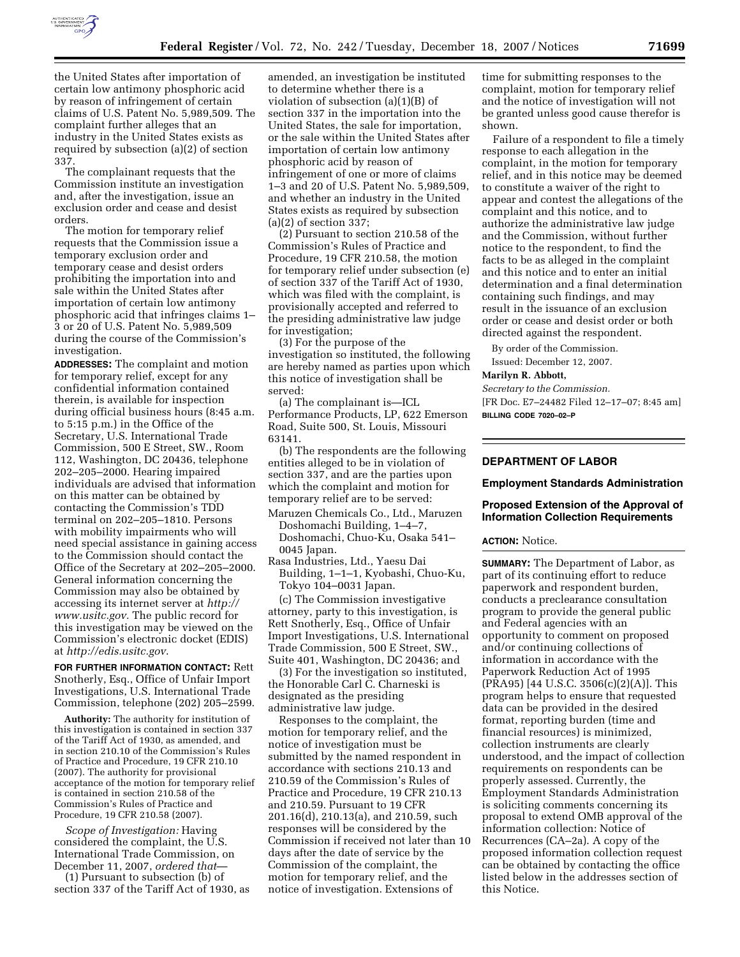

the United States after importation of certain low antimony phosphoric acid by reason of infringement of certain claims of U.S. Patent No. 5,989,509. The complaint further alleges that an industry in the United States exists as required by subsection (a)(2) of section 337.

The complainant requests that the Commission institute an investigation and, after the investigation, issue an exclusion order and cease and desist orders.

The motion for temporary relief requests that the Commission issue a temporary exclusion order and temporary cease and desist orders prohibiting the importation into and sale within the United States after importation of certain low antimony phosphoric acid that infringes claims 1– 3 or 20 of U.S. Patent No. 5,989,509 during the course of the Commission's investigation.

**ADDRESSES:** The complaint and motion for temporary relief, except for any confidential information contained therein, is available for inspection during official business hours (8:45 a.m. to 5:15 p.m.) in the Office of the Secretary, U.S. International Trade Commission, 500 E Street, SW., Room 112, Washington, DC 20436, telephone 202–205–2000. Hearing impaired individuals are advised that information on this matter can be obtained by contacting the Commission's TDD terminal on 202–205–1810. Persons with mobility impairments who will need special assistance in gaining access to the Commission should contact the Office of the Secretary at 202–205–2000. General information concerning the Commission may also be obtained by accessing its internet server at *http:// www.usitc.gov.* The public record for this investigation may be viewed on the Commission's electronic docket (EDIS) at *http://edis.usitc.gov*.

**FOR FURTHER INFORMATION CONTACT:** Rett Snotherly, Esq., Office of Unfair Import Investigations, U.S. International Trade Commission, telephone (202) 205–2599.

**Authority:** The authority for institution of this investigation is contained in section 337 of the Tariff Act of 1930, as amended, and in section 210.10 of the Commission's Rules of Practice and Procedure, 19 CFR 210.10 (2007). The authority for provisional acceptance of the motion for temporary relief is contained in section 210.58 of the Commission's Rules of Practice and Procedure, 19 CFR 210.58 (2007).

*Scope of Investigation:* Having considered the complaint, the U.S. International Trade Commission, on December 11, 2007, *ordered that*—

(1) Pursuant to subsection (b) of section 337 of the Tariff Act of 1930, as

amended, an investigation be instituted to determine whether there is a violation of subsection (a)(1)(B) of section 337 in the importation into the United States, the sale for importation, or the sale within the United States after importation of certain low antimony phosphoric acid by reason of infringement of one or more of claims 1–3 and 20 of U.S. Patent No. 5,989,509, and whether an industry in the United States exists as required by subsection (a)(2) of section 337;

(2) Pursuant to section 210.58 of the Commission's Rules of Practice and Procedure, 19 CFR 210.58, the motion for temporary relief under subsection (e) of section 337 of the Tariff Act of 1930, which was filed with the complaint, is provisionally accepted and referred to the presiding administrative law judge for investigation;

(3) For the purpose of the investigation so instituted, the following are hereby named as parties upon which this notice of investigation shall be served:

(a) The complainant is—ICL Performance Products, LP, 622 Emerson Road, Suite 500, St. Louis, Missouri 63141.

(b) The respondents are the following entities alleged to be in violation of section 337, and are the parties upon which the complaint and motion for temporary relief are to be served:

- Maruzen Chemicals Co., Ltd., Maruzen Doshomachi Building, 1–4–7, Doshomachi, Chuo-Ku, Osaka 541– 0045 Japan.
- Rasa Industries, Ltd., Yaesu Dai Building, 1–1–1, Kyobashi, Chuo-Ku, Tokyo 104–0031 Japan.

(c) The Commission investigative attorney, party to this investigation, is Rett Snotherly, Esq., Office of Unfair Import Investigations, U.S. International Trade Commission, 500 E Street, SW., Suite 401, Washington, DC 20436; and

(3) For the investigation so instituted, the Honorable Carl C. Charneski is designated as the presiding administrative law judge.

Responses to the complaint, the motion for temporary relief, and the notice of investigation must be submitted by the named respondent in accordance with sections 210.13 and 210.59 of the Commission's Rules of Practice and Procedure, 19 CFR 210.13 and 210.59. Pursuant to 19 CFR 201.16(d), 210.13(a), and 210.59, such responses will be considered by the Commission if received not later than 10 days after the date of service by the Commission of the complaint, the motion for temporary relief, and the notice of investigation. Extensions of

time for submitting responses to the complaint, motion for temporary relief and the notice of investigation will not be granted unless good cause therefor is shown.

Failure of a respondent to file a timely response to each allegation in the complaint, in the motion for temporary relief, and in this notice may be deemed to constitute a waiver of the right to appear and contest the allegations of the complaint and this notice, and to authorize the administrative law judge and the Commission, without further notice to the respondent, to find the facts to be as alleged in the complaint and this notice and to enter an initial determination and a final determination containing such findings, and may result in the issuance of an exclusion order or cease and desist order or both directed against the respondent.

By order of the Commission.

Issued: December 12, 2007.

#### **Marilyn R. Abbott,**

*Secretary to the Commission.*  [FR Doc. E7–24482 Filed 12–17–07; 8:45 am] **BILLING CODE 7020–02–P** 

# **DEPARTMENT OF LABOR**

#### **Employment Standards Administration**

# **Proposed Extension of the Approval of Information Collection Requirements**

#### **ACTION:** Notice.

**SUMMARY:** The Department of Labor, as part of its continuing effort to reduce paperwork and respondent burden, conducts a preclearance consultation program to provide the general public and Federal agencies with an opportunity to comment on proposed and/or continuing collections of information in accordance with the Paperwork Reduction Act of 1995 (PRA95) [44 U.S.C. 3506(c)(2)(A)]. This program helps to ensure that requested data can be provided in the desired format, reporting burden (time and financial resources) is minimized, collection instruments are clearly understood, and the impact of collection requirements on respondents can be properly assessed. Currently, the Employment Standards Administration is soliciting comments concerning its proposal to extend OMB approval of the information collection: Notice of Recurrences (CA–2a). A copy of the proposed information collection request can be obtained by contacting the office listed below in the addresses section of this Notice.